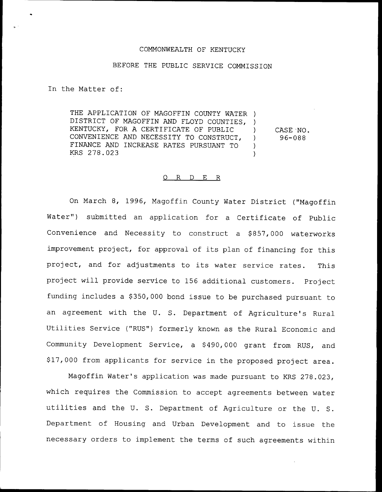#### COMMONWEALTH OF KENTUCKY

## BEFORE THE PUBLIC SERVICE COMMISSION

In the Matter of:

THE APPLICATION OF MAGOFFIN COUNTY WATER ) DISTRICT OF MAGOFFIN AND FLOYD COUNTIES, ) KENTUCKY, FOR A CERTIFICATE OF PUBLIC ) CONVENIENCE AND NECESSITY TO CONSTRUCT, FINANCE AND INCREASE RATES PURSUANT TO ) KRS 278.023 ) CASE NO.

# 96-088

#### 0 R <sup>D</sup> E R

On March 8, 1996, Magoffin County Water District ("Magoffin Water") submitted an application for a Certificate of Public Convenience and Necessity to construct a \$857,000 waterworks improvement project, for approval of its plan of financing for this project, and for adjustments to its water service rates. This project. will provide service to 156 additional customers. Project funding includes a \$350,000 bond issue to be purchased pursuant to an agreement with the U. S. Department of Agriculture's Rural Utilities Service ("RUS") formerly known as the Rural Economic and Community Development Service, a \$ 490,000 grant from RUS, and \$17,000 from applicants for service in the proposed project area.

Magoffin Water's application was made pursuant to KRS 278.023, which requires the Commission to accept agreements between water utilities and the U. S. Department of Agriculture or the U. S. Department of Housing and Urban Development and to issue the necessary orders to implement the terms of such agreements within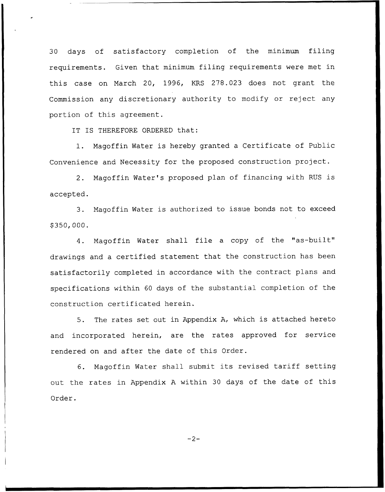30 days of satisfactory completion of the minimum filing requirements. Given that minimum filing requirements were met in this case on March 20, 1996, KRS 278.023 does not grant the Commission any discretionary authority to modify or reject any portion of this agreement.

IT IS THEREFORE ORDERED that:

1. Nagoffin Water is hereby granted <sup>a</sup> Certificate of Public Convenience and Necessity for the proposed construction project.

2. Magoffin Water's proposed plan of financing with RUS is accepted.

3. Nagoffin Water is authorized to issue bonds not to exceed \$ 350,000.

4. Nagoffin Water shall file <sup>a</sup> copy of the "as-built" drawings and <sup>a</sup> certified statement that the construction has been satisfactorily completed in accordance with the contract plans and specifications within <sup>60</sup> days of the substantial completion of the construction certificated herein.

5. The rates set out in Appendix A, which is attached hereto and incorporated herein, are the rates approved for service rendered on and after the date of this Order.

6. Nagoffin Water shall submit its revised tariff setting out the rates in Appendix <sup>A</sup> within 30 days of the date of this Order.

 $-2-$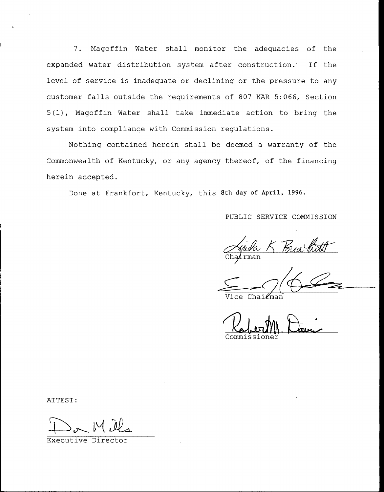7. Magoffin Water shall monitor the adequacies of the expanded water distribution system after construction. If the level of service is inadequate or declining or the pressure to any customer falls outside the requirements of 807 KAR 5:066, Section 5(1), Magoffin Water shall take immediate action to bring the system into compliance with Commission regulations.

Nothing contained herein shall be deemed a warranty of the Commonwealth of Kentucky, or any agency thereof, of the financing herein accepted.

Done at Frankfort, Kentucky, this 8th day of April, 1996.

PUBLIC SERVICE COMMISSION

Frida K

Vice Chairma

Commissione

ATTEST:

Executive Directo